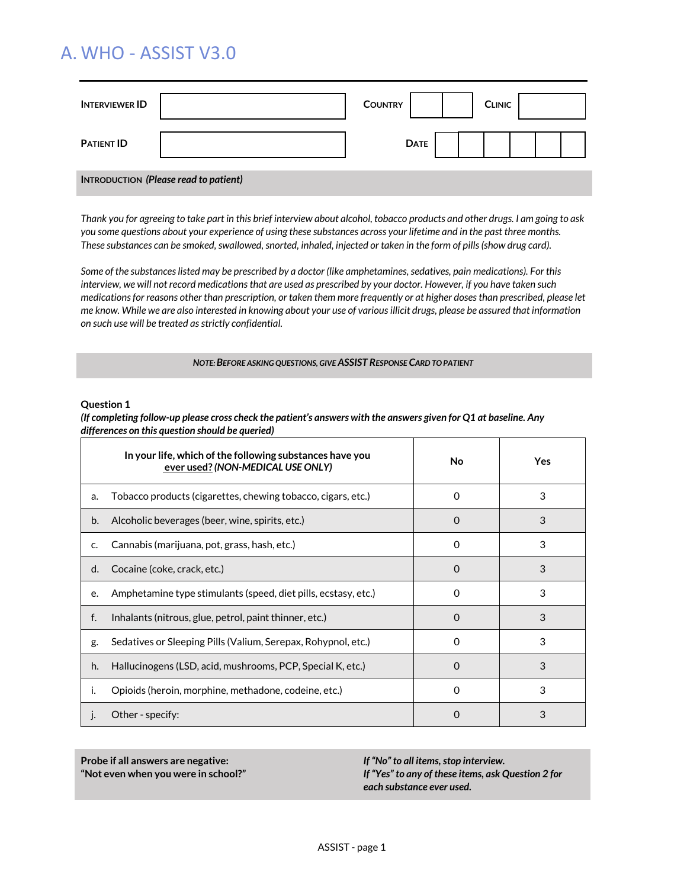# A. WHO - ASSIST V3.0

| <b>INTERVIEWER ID</b>                 |  | <b>COUNTRY</b> |             |  | <b>CLINIC</b> |  |  |  |
|---------------------------------------|--|----------------|-------------|--|---------------|--|--|--|
| <b>PATIENT ID</b>                     |  |                | <b>DATE</b> |  |               |  |  |  |
| INTRODUCTION (Please read to patient) |  |                |             |  |               |  |  |  |

*Thank you for agreeing to take part in this brief interview about alcohol, tobacco products and other drugs. I am going to ask you some questions about your experience of using these substances across your lifetime and in the past three months. These substances can be smoked, swallowed, snorted, inhaled, injected or taken in the form of pills (show drug card).* 

*Some of the substances listed may be prescribed by a doctor (like amphetamines, sedatives, pain medications). For this interview, we will not record medications that are used as prescribed by your doctor. However, if you have taken such medications for reasons other than prescription, or taken them more frequently or at higher doses than prescribed, please let me know. While we are also interested in knowing about your use of various illicit drugs, please be assured that information on such use will be treated as strictly confidential.*

#### *NOTE: BEFORE ASKING QUESTIONS, GIVE ASSIST RESPONSE CARD TO PATIENT*

#### **Question 1**

*(If completing follow-up please cross check the patient's answers with the answers given for Q1 at baseline. Any differences on this question should be queried)*

|    | In your life, which of the following substances have you<br>ever used? (NON-MEDICAL USE ONLY) | No           | Yes. |
|----|-----------------------------------------------------------------------------------------------|--------------|------|
| a. | Tobacco products (cigarettes, chewing tobacco, cigars, etc.)                                  | O            | 3    |
| b. | Alcoholic beverages (beer, wine, spirits, etc.)                                               | $\Omega$     | 3    |
| C. | Cannabis (marijuana, pot, grass, hash, etc.)                                                  | <sup>0</sup> | 3    |
| d. | Cocaine (coke, crack, etc.)                                                                   | $\Omega$     | 3    |
| e. | Amphetamine type stimulants (speed, diet pills, ecstasy, etc.)                                | 0            | 3    |
| f. | Inhalants (nitrous, glue, petrol, paint thinner, etc.)                                        | $\Omega$     | 3    |
| g. | Sedatives or Sleeping Pills (Valium, Serepax, Rohypnol, etc.)                                 | $\mathbf{O}$ | 3    |
| h. | Hallucinogens (LSD, acid, mushrooms, PCP, Special K, etc.)                                    | O            | 3    |
| ı. | Opioids (heroin, morphine, methadone, codeine, etc.)                                          | 0            | 3    |
| J. | Other - specify:                                                                              | 0            | 3    |

**Probe if all answers are negative: "Not even when you were in school?"**

*If "No" to all items, stop interview. If "Yes" to any of these items, ask Question 2 for each substance ever used.*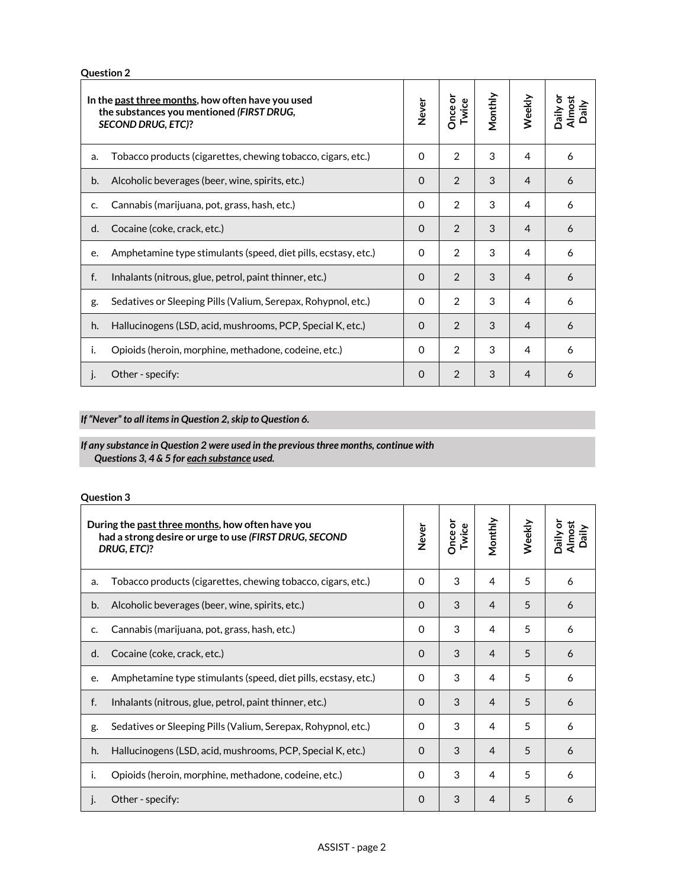**Question 2**

|    | In the past three months, how often have you used<br>the substances you mentioned (FIRST DRUG,<br><b>SECOND DRUG, ETC)?</b> | Never    | <b>Once or</b><br>Twice | Monthly | Weekly | Daily or<br>Almost<br>aily |
|----|-----------------------------------------------------------------------------------------------------------------------------|----------|-------------------------|---------|--------|----------------------------|
| a. | Tobacco products (cigarettes, chewing tobacco, cigars, etc.)                                                                | 0        | 2                       | 3       | 4      | 6                          |
| b. | Alcoholic beverages (beer, wine, spirits, etc.)                                                                             | $\Omega$ | 2                       | 3       | 4      | 6                          |
| c. | Cannabis (marijuana, pot, grass, hash, etc.)                                                                                |          |                         | 3       | 4      | 6                          |
| d. | Cocaine (coke, crack, etc.)                                                                                                 | $\Omega$ | $\mathfrak{D}$          | 3       | 4      | 6                          |
| e. | Amphetamine type stimulants (speed, diet pills, ecstasy, etc.)                                                              | $\Omega$ | $\mathcal{P}$           | 3       | 4      | 6                          |
| f. | Inhalants (nitrous, glue, petrol, paint thinner, etc.)                                                                      | $\Omega$ | $\mathfrak{D}$          | 3       | 4      | 6                          |
| g. | Sedatives or Sleeping Pills (Valium, Serepax, Rohypnol, etc.)                                                               |          | 2                       | 3       | 4      | 6                          |
| h. | Hallucinogens (LSD, acid, mushrooms, PCP, Special K, etc.)                                                                  |          | 2                       | 3       | 4      | 6                          |
| i. | Opioids (heroin, morphine, methadone, codeine, etc.)                                                                        | $\Omega$ | $\mathcal{P}$           | 3       | 4      | 6                          |
| J. | Other - specify:                                                                                                            | $\Omega$ | 2                       | 3       | 4      | 6                          |

*If "Never" to all items in Question 2, skip to Question 6.*

## *If any substance in Question 2 were used in the previous three months, continue with Questions 3, 4 & 5 for each substance used.*

## **Question 3**

|    | During the past three months, how often have you<br>had a strong desire or urge to use (FIRST DRUG, SECOND<br>DRUG, ETC)? | <b>Never</b> | Once or<br>Twice | Monthly | Weekly | Daily or<br>Almost<br>aily |
|----|---------------------------------------------------------------------------------------------------------------------------|--------------|------------------|---------|--------|----------------------------|
| a. | Tobacco products (cigarettes, chewing tobacco, cigars, etc.)                                                              | $\Omega$     | 3                | 4       | 5      | 6                          |
| b. | Alcoholic beverages (beer, wine, spirits, etc.)                                                                           | $\Omega$     | 3                | 4       | 5      | 6                          |
| c. | Cannabis (marijuana, pot, grass, hash, etc.)                                                                              | $\Omega$     | 3                | 4       | 5      | 6                          |
| d. | Cocaine (coke, crack, etc.)                                                                                               | $\Omega$     | 3                | 4       | 5      | 6                          |
| e. | Amphetamine type stimulants (speed, diet pills, ecstasy, etc.)                                                            | 0            | 3                | 4       | 5      | 6                          |
| f. | Inhalants (nitrous, glue, petrol, paint thinner, etc.)                                                                    | $\Omega$     | 3                | 4       | 5      | 6                          |
| g. | Sedatives or Sleeping Pills (Valium, Serepax, Rohypnol, etc.)                                                             | $\Omega$     | 3                | 4       | 5      | 6                          |
| h. | Hallucinogens (LSD, acid, mushrooms, PCP, Special K, etc.)                                                                |              | 3                | 4       | 5      | 6                          |
| ı. | Opioids (heroin, morphine, methadone, codeine, etc.)                                                                      | $\Omega$     | 3                | 4       | 5      | 6                          |
| J. | Other - specify:                                                                                                          | $\Omega$     | 3                | 4       | 5      | 6                          |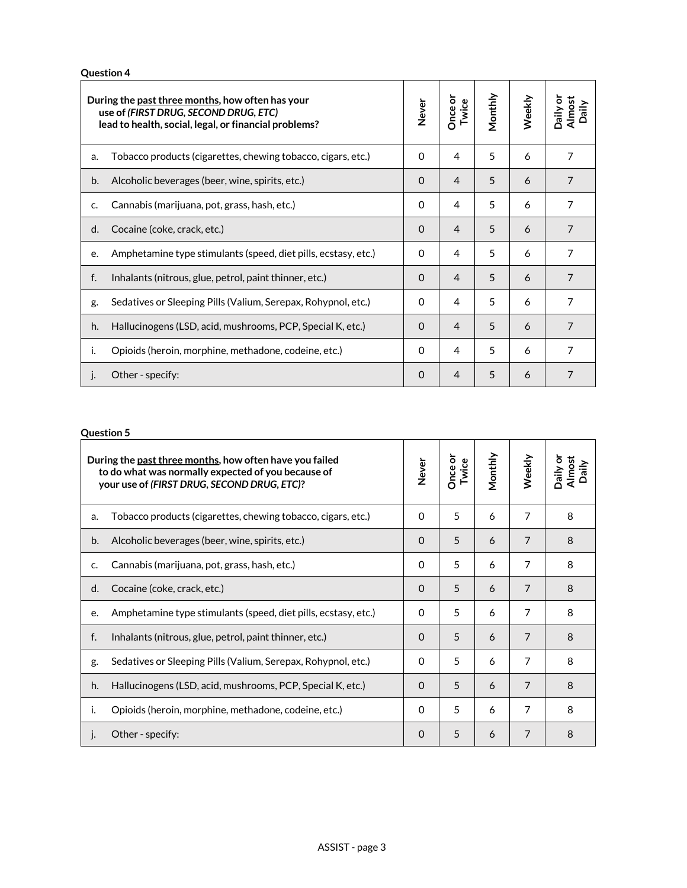**Question 4**

| During the past three months, how often has your<br>use of (FIRST DRUG, SECOND DRUG, ETC)<br>lead to health, social, legal, or financial problems? |                                                                |          | <b>Dnce or</b><br>Twice | Monthly | Weekly | Daily or<br>Almost<br>aily |
|----------------------------------------------------------------------------------------------------------------------------------------------------|----------------------------------------------------------------|----------|-------------------------|---------|--------|----------------------------|
| a.                                                                                                                                                 | Tobacco products (cigarettes, chewing tobacco, cigars, etc.)   | $\Omega$ | 4                       | 5       | 6      | 7                          |
| b.                                                                                                                                                 | Alcoholic beverages (beer, wine, spirits, etc.)                | $\Omega$ | 4                       | 5       | 6      | $\overline{7}$             |
| c.                                                                                                                                                 | Cannabis (marijuana, pot, grass, hash, etc.)                   | $\Omega$ | 4                       | 5       | 6      | $\overline{7}$             |
| d.                                                                                                                                                 | Cocaine (coke, crack, etc.)                                    | $\Omega$ | 4                       | 5       | 6      | $\overline{7}$             |
| e.                                                                                                                                                 | Amphetamine type stimulants (speed, diet pills, ecstasy, etc.) | $\Omega$ | 4                       | 5       | 6      | $\overline{7}$             |
| f.                                                                                                                                                 | Inhalants (nitrous, glue, petrol, paint thinner, etc.)         | $\Omega$ | 4                       | 5       | 6      | $\overline{7}$             |
| g.                                                                                                                                                 | Sedatives or Sleeping Pills (Valium, Serepax, Rohypnol, etc.)  | $\Omega$ | 4                       | 5       | 6      | $\overline{7}$             |
| h.                                                                                                                                                 | Hallucinogens (LSD, acid, mushrooms, PCP, Special K, etc.)     |          | 4                       | 5       | 6      | $\overline{7}$             |
| i.                                                                                                                                                 | Opioids (heroin, morphine, methadone, codeine, etc.)           | $\Omega$ | 4                       | 5       | 6      | 7                          |
| j.                                                                                                                                                 | Other - specify:                                               | $\Omega$ | 4                       | 5       | 6      |                            |

## **Question 5**

| During the past three months, how often have you failed<br>to do what was normally expected of you because of<br>your use of (FIRST DRUG, SECOND DRUG, ETC)? |                                                                |          | Once or<br>Twice | Monthly | Weekly         | Jaily or<br>Almost<br>aily |
|--------------------------------------------------------------------------------------------------------------------------------------------------------------|----------------------------------------------------------------|----------|------------------|---------|----------------|----------------------------|
| a.                                                                                                                                                           | Tobacco products (cigarettes, chewing tobacco, cigars, etc.)   | $\Omega$ | 5                | 6       | 7              | 8                          |
| b.                                                                                                                                                           | Alcoholic beverages (beer, wine, spirits, etc.)                | $\Omega$ | 5                | 6       | $\overline{7}$ | 8                          |
| c.                                                                                                                                                           | Cannabis (marijuana, pot, grass, hash, etc.)                   | 0        | 5                | 6       | 7              | 8                          |
| d.                                                                                                                                                           | Cocaine (coke, crack, etc.)                                    | $\Omega$ | 5                | 6       | 7              | 8                          |
| e.                                                                                                                                                           | Amphetamine type stimulants (speed, diet pills, ecstasy, etc.) | 0        | 5                | 6       | 7              | 8                          |
| f.                                                                                                                                                           | Inhalants (nitrous, glue, petrol, paint thinner, etc.)         | $\Omega$ | 5                | 6       | $\overline{7}$ | 8                          |
| g.                                                                                                                                                           | Sedatives or Sleeping Pills (Valium, Serepax, Rohypnol, etc.)  |          | 5                | 6       | 7              | 8                          |
| h.                                                                                                                                                           | Hallucinogens (LSD, acid, mushrooms, PCP, Special K, etc.)     |          | 5                | 6       | $\overline{7}$ | 8                          |
| ı.                                                                                                                                                           | Opioids (heroin, morphine, methadone, codeine, etc.)           |          | 5                | 6       | 7              | 8                          |
| $\mathsf{L}$                                                                                                                                                 | Other - specify:                                               | $\Omega$ | 5                | 6       | 7              | 8                          |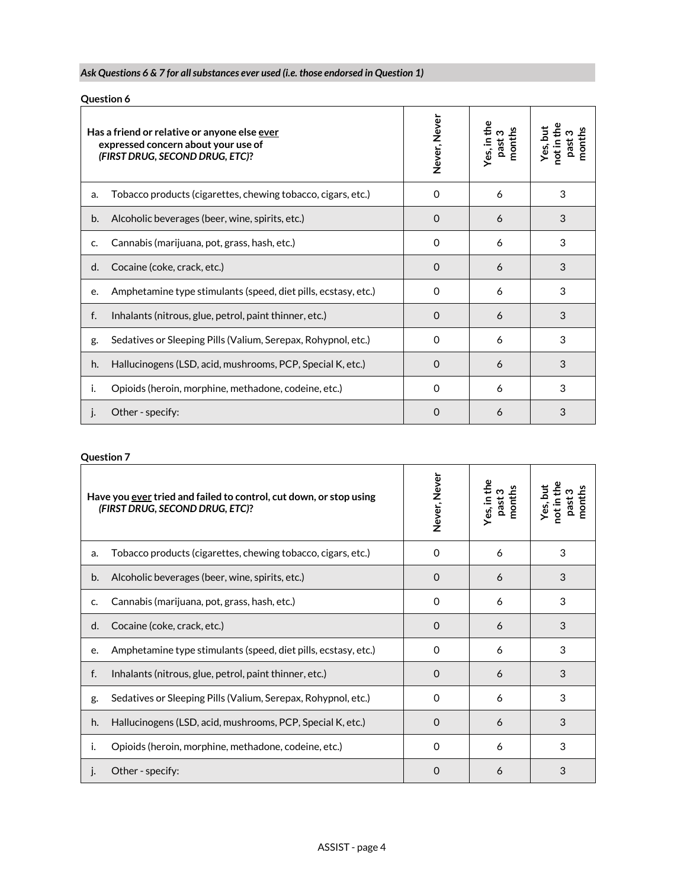## *Ask Questions 6 & 7 for all substances ever used (i.e. those endorsed in Question 1)*

|    | <b>Question 6</b>                                                                                                      |               |        |                        |
|----|------------------------------------------------------------------------------------------------------------------------|---------------|--------|------------------------|
|    | Has a friend or relative or anyone else ever<br>expressed concern about your use of<br>(FIRST DRUG, SECOND DRUG, ETC)? | Never, Never  | nonths | not in the<br>Yes, but |
| a. | Tobacco products (cigarettes, chewing tobacco, cigars, etc.)                                                           | 0             | 6      | 3                      |
| b. | Alcoholic beverages (beer, wine, spirits, etc.)                                                                        | $\Omega$      | 6      | 3                      |
| c. | Cannabis (marijuana, pot, grass, hash, etc.)                                                                           | $\Omega$      | 6      | 3                      |
| d. | Cocaine (coke, crack, etc.)                                                                                            | $\Omega$      | 6      | 3                      |
| e. | Amphetamine type stimulants (speed, diet pills, ecstasy, etc.)                                                         | $\Omega$      | 6      | 3                      |
| f. | Inhalants (nitrous, glue, petrol, paint thinner, etc.)                                                                 | $\Omega$      | 6      | 3                      |
| g. | Sedatives or Sleeping Pills (Valium, Serepax, Rohypnol, etc.)                                                          | $\Omega$      | 6      | 3                      |
| h. | Hallucinogens (LSD, acid, mushrooms, PCP, Special K, etc.)                                                             | $\mathcal{L}$ | 6      | 3                      |

i. Opioids (heroin, morphine, methadone, codeine, etc.) 0 6 3

j. Other - specify: 0 6 3

**Yes, but not in the past 3 months**

## **Question 7**

|    | Have you ever tried and failed to control, cut down, or stop using<br>(FIRST DRUG, SECOND DRUG, ETC)? | Never, Never | the<br>nonths<br>ო<br>es, In | ă<br>nonths<br>ö<br>₫ |
|----|-------------------------------------------------------------------------------------------------------|--------------|------------------------------|-----------------------|
| a. | Tobacco products (cigarettes, chewing tobacco, cigars, etc.)                                          | $\Omega$     | 6                            | 3                     |
| b. | Alcoholic beverages (beer, wine, spirits, etc.)                                                       | $\Omega$     | 6                            | 3                     |
| c. | Cannabis (marijuana, pot, grass, hash, etc.)                                                          | $\Omega$     | 6                            | 3                     |
| d. | Cocaine (coke, crack, etc.)                                                                           | $\Omega$     | 6                            | 3                     |
| e. | Amphetamine type stimulants (speed, diet pills, ecstasy, etc.)                                        | $\Omega$     | 6                            | 3                     |
| f. | Inhalants (nitrous, glue, petrol, paint thinner, etc.)                                                | $\Omega$     | 6                            | 3                     |
| g. | Sedatives or Sleeping Pills (Valium, Serepax, Rohypnol, etc.)                                         | $\Omega$     | 6                            | 3                     |
| h. | Hallucinogens (LSD, acid, mushrooms, PCP, Special K, etc.)                                            | $\Omega$     | 6                            | 3                     |
| ı. | Opioids (heroin, morphine, methadone, codeine, etc.)                                                  | $\Omega$     | 6                            | 3                     |
| I. | Other - specify:                                                                                      | O            | 6                            | 3                     |